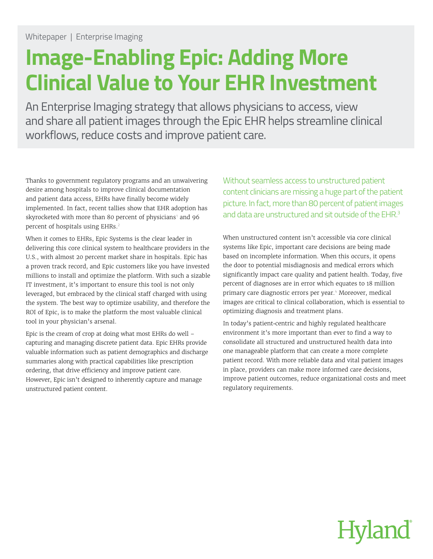# **Image-Enabling Epic: Adding More Clinical Value to Your EHR Investment**

An Enterprise Imaging strategy that allows physicians to access, view and share all patient images through the Epic EHR helps streamline clinical workflows, reduce costs and improve patient care.

Thanks to government regulatory programs and an unwaivering desire among hospitals to improve clinical documentation and patient data access, EHRs have finally become widely implemented. In fact, recent tallies show that EHR adoption has skyrocketed with more than 80 percent of physicians<sup>1</sup> and 96 percent of hospitals using EHRs.<sup>2</sup>

When it comes to EHRs, Epic Systems is the clear leader in delivering this core clinical system to healthcare providers in the U.S., with almost 20 percent market share in hospitals. Epic has a proven track record, and Epic customers like you have invested millions to install and optimize the platform. With such a sizable IT investment, it's important to ensure this tool is not only leveraged, but embraced by the clinical staff charged with using the system. The best way to optimize usability, and therefore the ROI of Epic, is to make the platform the most valuable clinical tool in your physician's arsenal.

Epic is the cream of crop at doing what most EHRs do well – capturing and managing discrete patient data. Epic EHRs provide valuable information such as patient demographics and discharge summaries along with practical capabilities like prescription ordering, that drive efficiency and improve patient care. However, Epic isn't designed to inherently capture and manage unstructured patient content.

Without seamless access to unstructured patient content clinicians are missing a huge part of the patient picture. In fact, more than 80 percent of patient images and data are unstructured and sit outside of the EHR.<sup>3</sup>

When unstructured content isn't accessible via core clinical systems like Epic, important care decisions are being made based on incomplete information. When this occurs, it opens the door to potential misdiagnosis and medical errors which significantly impact care quality and patient health. Today, five percent of diagnoses are in error which equates to 18 million primary care diagnostic errors per year.<sup>4</sup> Moreover, medical images are critical to clinical collaboration, which is essential to optimizing diagnosis and treatment plans.

In today's patient-centric and highly regulated healthcare environment it's more important than ever to find a way to consolidate all structured and unstructured health data into one manageable platform that can create a more complete patient record. With more reliable data and vital patient images in place, providers can make more informed care decisions, improve patient outcomes, reduce organizational costs and meet regulatory requirements.

# **Hyland**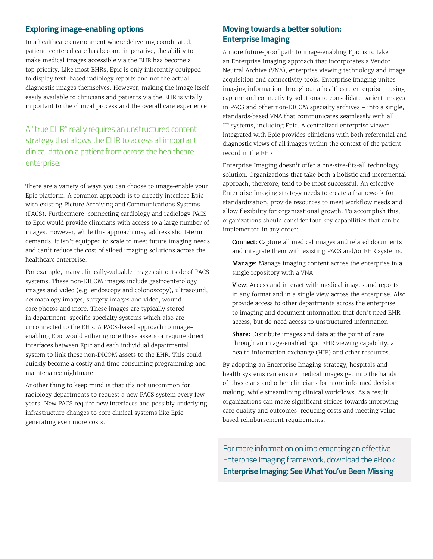# **Exploring image-enabling options**

In a healthcare environment where delivering coordinated, patient-centered care has become imperative, the ability to make medical images accessible via the EHR has become a top priority. Like most EHRs, Epic is only inherently equipped to display text-based radiology reports and not the actual diagnostic images themselves. However, making the image itself easily available to clinicians and patients via the EHR is vitally important to the clinical process and the overall care experience.

A "true EHR" really requires an unstructured content strategy that allows the EHR to access all important clinical data on a patient from across the healthcare enterprise.

There are a variety of ways you can choose to image-enable your Epic platform. A common approach is to directly interface Epic with existing Picture Archiving and Communications Systems (PACS). Furthermore, connecting cardiology and radiology PACS to Epic would provide clinicians with access to a large number of images. However, while this approach may address short-term demands, it isn't equipped to scale to meet future imaging needs and can't reduce the cost of siloed imaging solutions across the healthcare enterprise.

For example, many clinically-valuable images sit outside of PACS systems. These non-DICOM images include gastroenterology images and video (e.g. endoscopy and colonoscopy), ultrasound, dermatology images, surgery images and video, wound care photos and more. These images are typically stored in department-specific specialty systems which also are unconnected to the EHR. A PACS-based approach to imageenabling Epic would either ignore these assets or require direct interfaces between Epic and each individual departmental system to link these non-DICOM assets to the EHR. This could quickly become a costly and time-consuming programming and maintenance nightmare.

Another thing to keep mind is that it's not uncommon for radiology departments to request a new PACS system every few years. New PACS require new interfaces and possibly underlying infrastructure changes to core clinical systems like Epic, generating even more costs.

# **Moving towards a better solution: Enterprise Imaging**

A more future-proof path to image-enabling Epic is to take an Enterprise Imaging approach that incorporates a Vendor Neutral Archive (VNA), enterprise viewing technology and image acquisition and connectivity tools. Enterprise Imaging unites imaging information throughout a healthcare enterprise - using capture and connectivity solutions to consolidate patient images in PACS and other non-DICOM specialty archives - into a single, standards-based VNA that communicates seamlessly with all IT systems, including Epic. A centralized enterprise viewer integrated with Epic provides clinicians with both referential and diagnostic views of all images within the context of the patient record in the EHR.

Enterprise Imaging doesn't offer a one-size-fits-all technology solution. Organizations that take both a holistic and incremental approach, therefore, tend to be most successful. An effective Enterprise Imaging strategy needs to create a framework for standardization, provide resources to meet workflow needs and allow flexibility for organizational growth. To accomplish this, organizations should consider four key capabilities that can be implemented in any order:

**Connect:** Capture all medical images and related documents and integrate them with existing PACS and/or EHR systems.

**Manage:** Manage imaging content across the enterprise in a single repository with a VNA.

**View:** Access and interact with medical images and reports in any format and in a single view across the enterprise. Also provide access to other departments across the enterprise to imaging and document information that don't need EHR access, but do need access to unstructured information.

**Share:** Distribute images and data at the point of care through an image-enabled Epic EHR viewing capability, a health information exchange (HIE) and other resources.

By adopting an Enterprise Imaging strategy, hospitals and health systems can ensure medical images get into the hands of physicians and other clinicians for more informed decision making, while streamlining clinical workflows. As a result, organizations can make significant strides towards improving care quality and outcomes, reducing costs and meeting valuebased reimbursement requirements.

For more information on implementing an effective Enterprise Imaging framework, download the eBook **Enterprise Imaging: See What You've Been Missing**